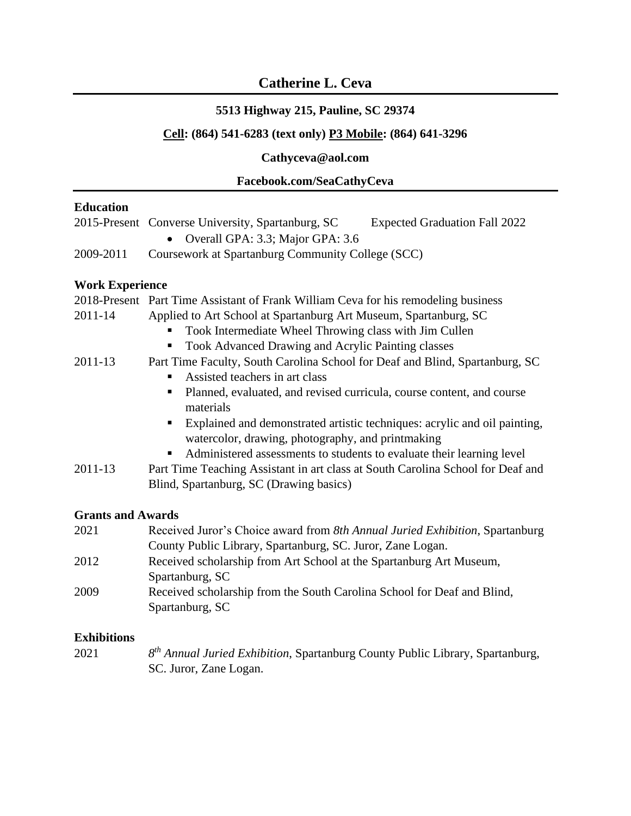# **Catherine L. Ceva**

## **5513 Highway 215, Pauline, SC 29374**

### **Cell: (864) 541-6283 (text only) P3 Mobile: (864) 641-3296**

## **Cathyceva@aol.com**

### **Facebook.com/SeaCathyCeva**

## **Education**

|           | 2015-Present Converse University, Spartanburg, SC | <b>Expected Graduation Fall 2022</b> |
|-----------|---------------------------------------------------|--------------------------------------|
|           | • Overall GPA: 3.3; Major GPA: 3.6                |                                      |
| 2009-2011 | Coursework at Spartanburg Community College (SCC) |                                      |
|           |                                                   |                                      |

## **Work Experience**

|         | 2018-Present Part Time Assistant of Frank William Ceva for his remodeling business |  |
|---------|------------------------------------------------------------------------------------|--|
| 2011-14 | Applied to Art School at Spartanburg Art Museum, Spartanburg, SC                   |  |
|         | Took Intermediate Wheel Throwing class with Jim Cullen                             |  |
|         | Took Advanced Drawing and Acrylic Painting classes                                 |  |
| 2011-13 | Part Time Faculty, South Carolina School for Deaf and Blind, Spartanburg, SC       |  |
|         | Assisted teachers in art class                                                     |  |
|         | Planned, evaluated, and revised curricula, course content, and course              |  |
|         | materials                                                                          |  |
|         | Explained and demonstrated artistic techniques: acrylic and oil painting,          |  |
|         | watercolor, drawing, photography, and printmaking                                  |  |
|         | Administered assessments to students to evaluate their learning level              |  |
| 2011-13 | Part Time Teaching Assistant in art class at South Carolina School for Deaf and    |  |
|         | Blind, Spartanburg, SC (Drawing basics)                                            |  |

#### **Grants and Awards**

| 2021 | Received Juror's Choice award from 8th Annual Juried Exhibition, Spartanburg |
|------|------------------------------------------------------------------------------|
|      | County Public Library, Spartanburg, SC. Juror, Zane Logan.                   |
| 2012 | Received scholarship from Art School at the Spartanburg Art Museum,          |
|      | Spartanburg, SC                                                              |
| 2009 | Received scholarship from the South Carolina School for Deaf and Blind,      |
|      | Spartanburg, SC                                                              |
|      |                                                                              |

## **Exhibitions**

| 2021 | 8 <sup>th</sup> Annual Juried Exhibition, Spartanburg County Public Library, Spartanburg, |
|------|-------------------------------------------------------------------------------------------|
|      | SC. Juror, Zane Logan.                                                                    |